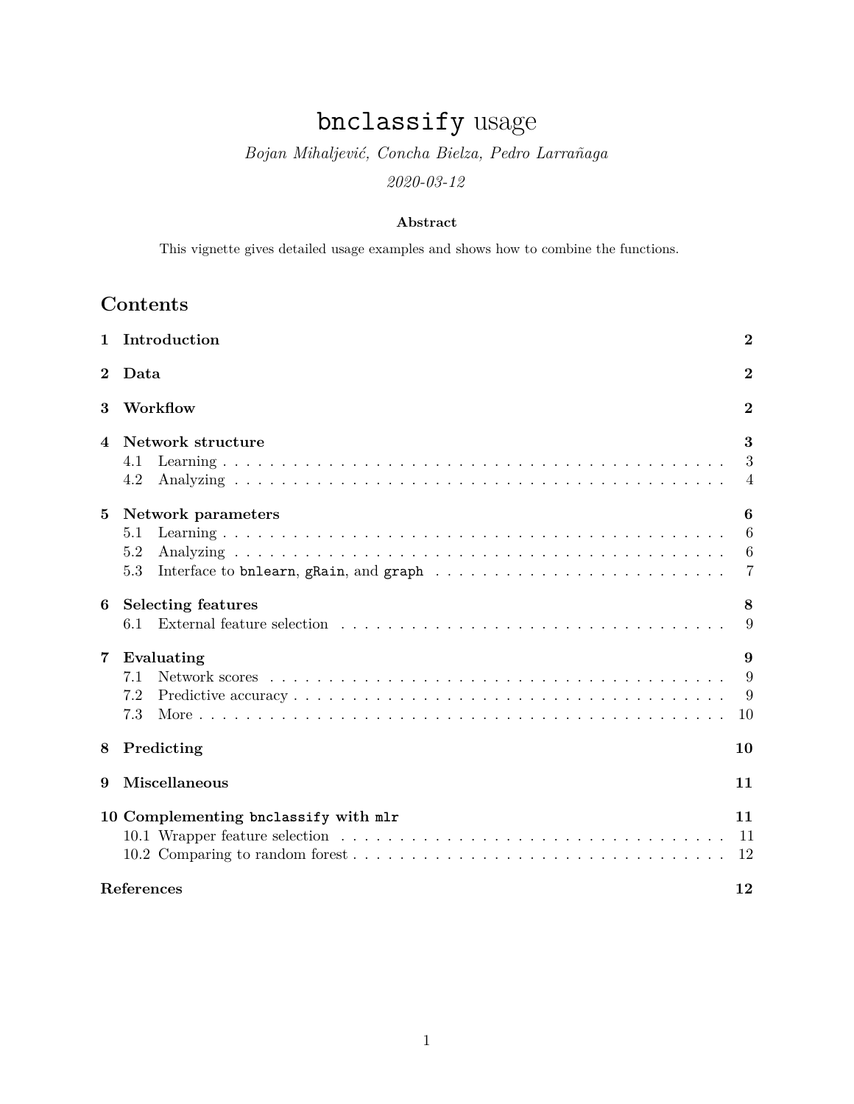# bnclassify usage

# *Bojan Mihaljević, Concha Bielza, Pedro Larrañaga 2020-03-12*

### **Abstract**

This vignette gives detailed usage examples and shows how to combine the functions.

# **Contents**

| 1                | Introduction                                                                                                                                              | $\bf{2}$                                    |
|------------------|-----------------------------------------------------------------------------------------------------------------------------------------------------------|---------------------------------------------|
| $\bf{2}$         | Data                                                                                                                                                      | $\overline{2}$                              |
| 3                | Workflow                                                                                                                                                  | $\bf{2}$                                    |
| 4                | Network structure<br>4.1<br>4.2                                                                                                                           | 3<br>3<br>$\overline{4}$                    |
| 5                | <b>Network</b> parameters<br>5.1<br>5.2<br>Interface to bnlearn, gRain, and graph $\ldots \ldots \ldots \ldots \ldots \ldots \ldots \ldots \ldots$<br>5.3 | 6<br>6<br>$6\phantom{.}6$<br>$\overline{7}$ |
| 6                | <b>Selecting features</b><br>6.1                                                                                                                          | 8<br>9                                      |
| 7                | Evaluating<br>7.1<br>7.2<br>7.3                                                                                                                           | 9<br>9<br>9<br>10                           |
| 8                | Predicting                                                                                                                                                | 10                                          |
| 9                | Miscellaneous                                                                                                                                             | 11                                          |
|                  | 10 Complementing bnclassify with mlr                                                                                                                      | 11<br>11<br>12                              |
| References<br>12 |                                                                                                                                                           |                                             |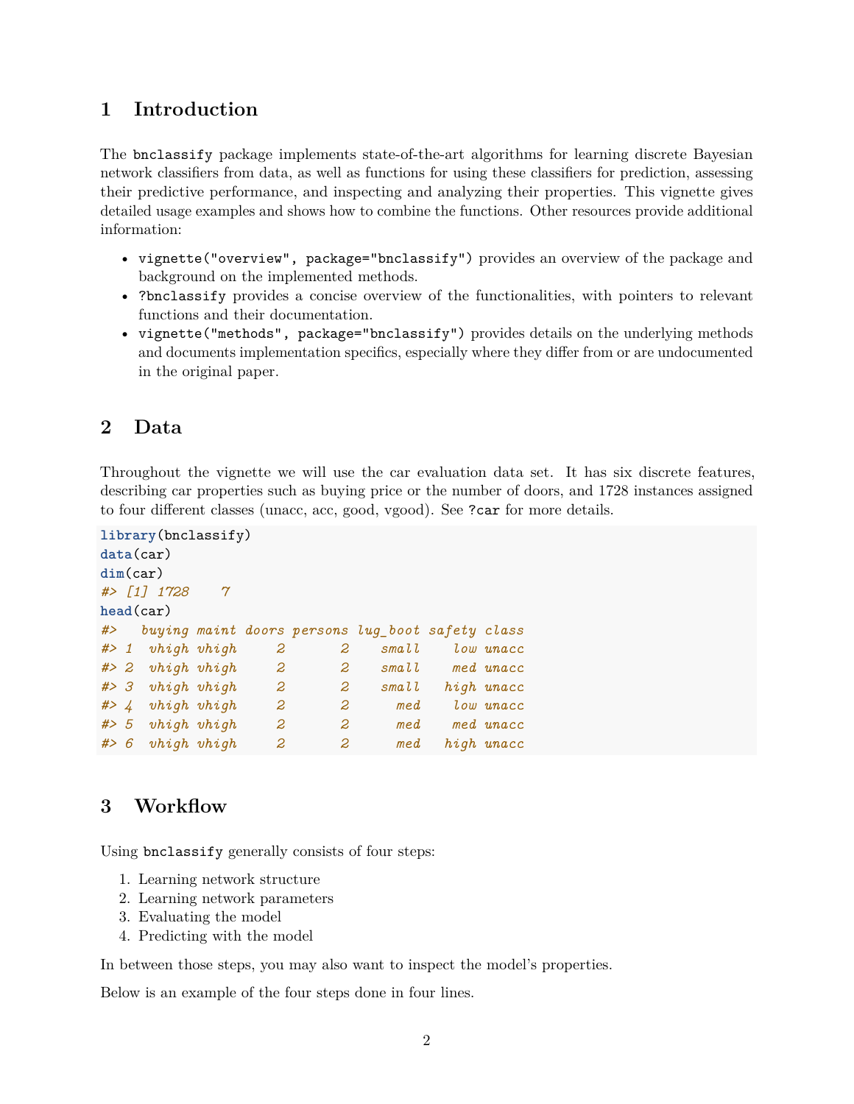# <span id="page-1-0"></span>**1 Introduction**

The bnclassify package implements state-of-the-art algorithms for learning discrete Bayesian network classifiers from data, as well as functions for using these classifiers for prediction, assessing their predictive performance, and inspecting and analyzing their properties. This vignette gives detailed usage examples and shows how to combine the functions. Other resources provide additional information:

- vignette("overview", package="bnclassify") provides an overview of the package and background on the implemented methods.
- ?bnclassify provides a concise overview of the functionalities, with pointers to relevant functions and their documentation.
- vignette("methods", package="bnclassify") provides details on the underlying methods and documents implementation specifics, especially where they differ from or are undocumented in the original paper.

# <span id="page-1-1"></span>**2 Data**

Throughout the vignette we will use the car evaluation data set. It has six discrete features, describing car properties such as buying price or the number of doors, and 1728 instances assigned to four different classes (unacc, acc, good, vgood). See ?car for more details.

```
library(bnclassify)
data(car)
dim(car)
#> [1] 1728 7
head(car)
#> buying maint doors persons lug_boot safety class
#> 1 vhigh vhigh 2 2 small low unacc
#> 2 vhigh vhigh 2 2 small med unacc
#> 3 vhigh vhigh 2 2 small high unacc
#> 4 vhigh vhigh 2 2 med low unacc
#> 5 vhigh vhigh 2 2 med med unacc
#> 6 vhigh vhigh 2 2 med high unacc
```
# <span id="page-1-2"></span>**3 Workflow**

Using bnclassify generally consists of four steps:

- 1. Learning network structure
- 2. Learning network parameters
- 3. Evaluating the model
- 4. Predicting with the model

In between those steps, you may also want to inspect the model's properties.

Below is an example of the four steps done in four lines.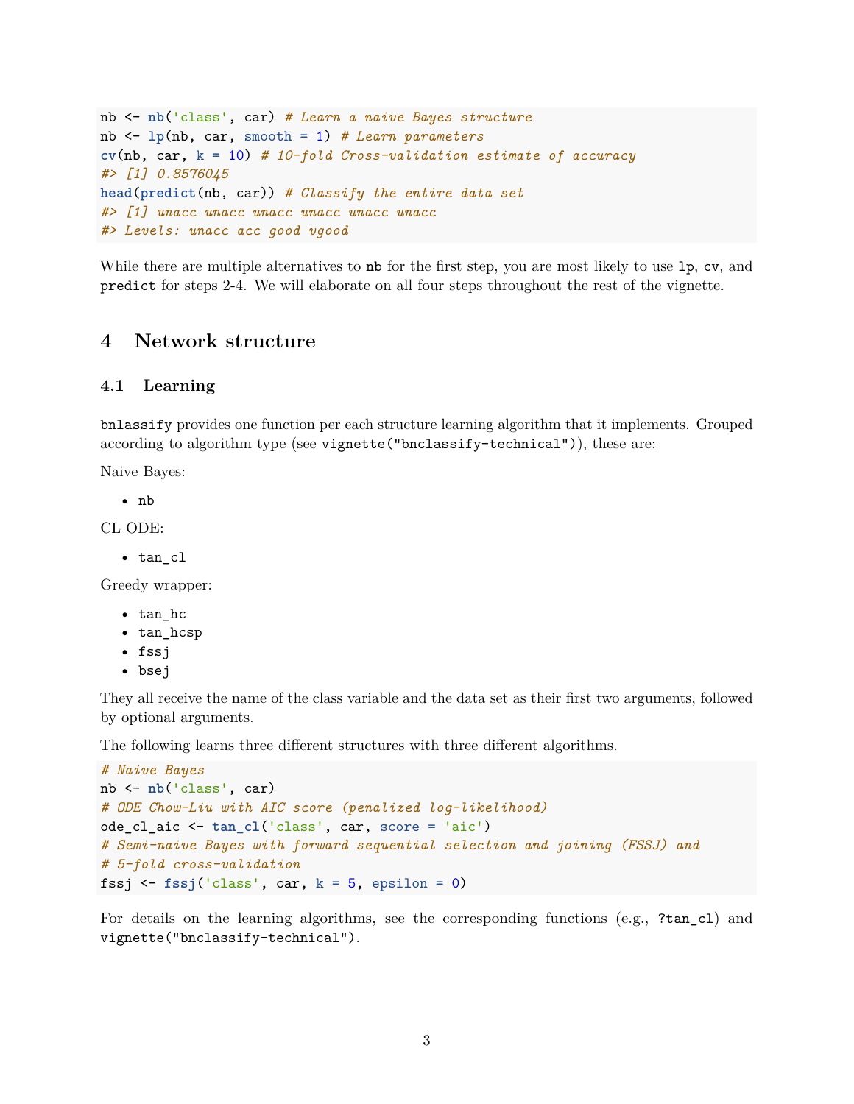```
nb <- nb('class', car) # Learn a naive Bayes structure
nb <- lp(nb, car, smooth = 1) # Learn parameters
cv(nb, car, k = 10) # 10-fold Cross-validation estimate of accuracy
#> [1] 0.8576045
head(predict(nb, car)) # Classify the entire data set
#> [1] unacc unacc unacc unacc unacc unacc
#> Levels: unacc acc good vgood
```
While there are multiple alternatives to nb for the first step, you are most likely to use 1p, cv, and predict for steps 2-4. We will elaborate on all four steps throughout the rest of the vignette.

### <span id="page-2-0"></span>**4 Network structure**

#### <span id="page-2-1"></span>**4.1 Learning**

bnlassify provides one function per each structure learning algorithm that it implements. Grouped according to algorithm type (see vignette("bnclassify-technical")), these are:

Naive Bayes:

• nb

CL ODE:

• tan\_cl

Greedy wrapper:

- tan\_hc
- tan\_hcsp
- fssj
- bsej

They all receive the name of the class variable and the data set as their first two arguments, followed by optional arguments.

The following learns three different structures with three different algorithms.

```
# Naive Bayes
nb <- nb('class', car)
# ODE Chow-Liu with AIC score (penalized log-likelihood)
ode_cl_aic <- tan_cl('class', car, score = 'aic')
# Semi-naive Bayes with forward sequential selection and joining (FSSJ) and
# 5-fold cross-validation
fssj \le fssj('class', car, k = 5, epsilon = 0)
```
For details on the learning algorithms, see the corresponding functions (e.g., ?tan\_cl) and vignette("bnclassify-technical").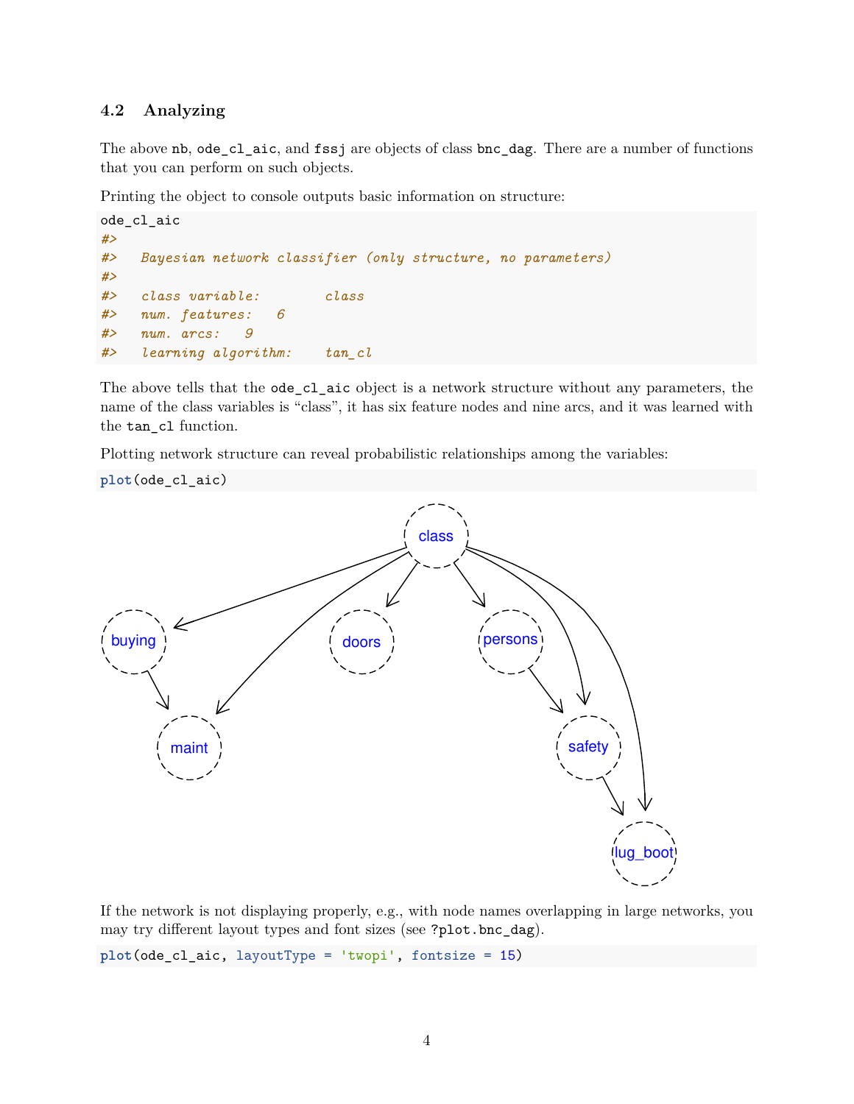### <span id="page-3-0"></span>**4.2 Analyzing**

The above nb, ode\_cl\_aic, and fssj are objects of class bnc\_dag. There are a number of functions that you can perform on such objects.

Printing the object to console outputs basic information on structure:

```
ode_cl_aic
#>
#> Bayesian network classifier (only structure, no parameters)
#>
#> class variable: class
#> num. features: 6
#> num. arcs: 9
#> learning algorithm: tan_cl
```
The above tells that the ode\_cl\_aic object is a network structure without any parameters, the name of the class variables is "class", it has six feature nodes and nine arcs, and it was learned with the tan\_cl function.

Plotting network structure can reveal probabilistic relationships among the variables:



If the network is not displaying properly, e.g., with node names overlapping in large networks, you may try different layout types and font sizes (see ?plot.bnc\_dag).

**plot**(ode\_cl\_aic, layoutType = 'twopi', fontsize = 15)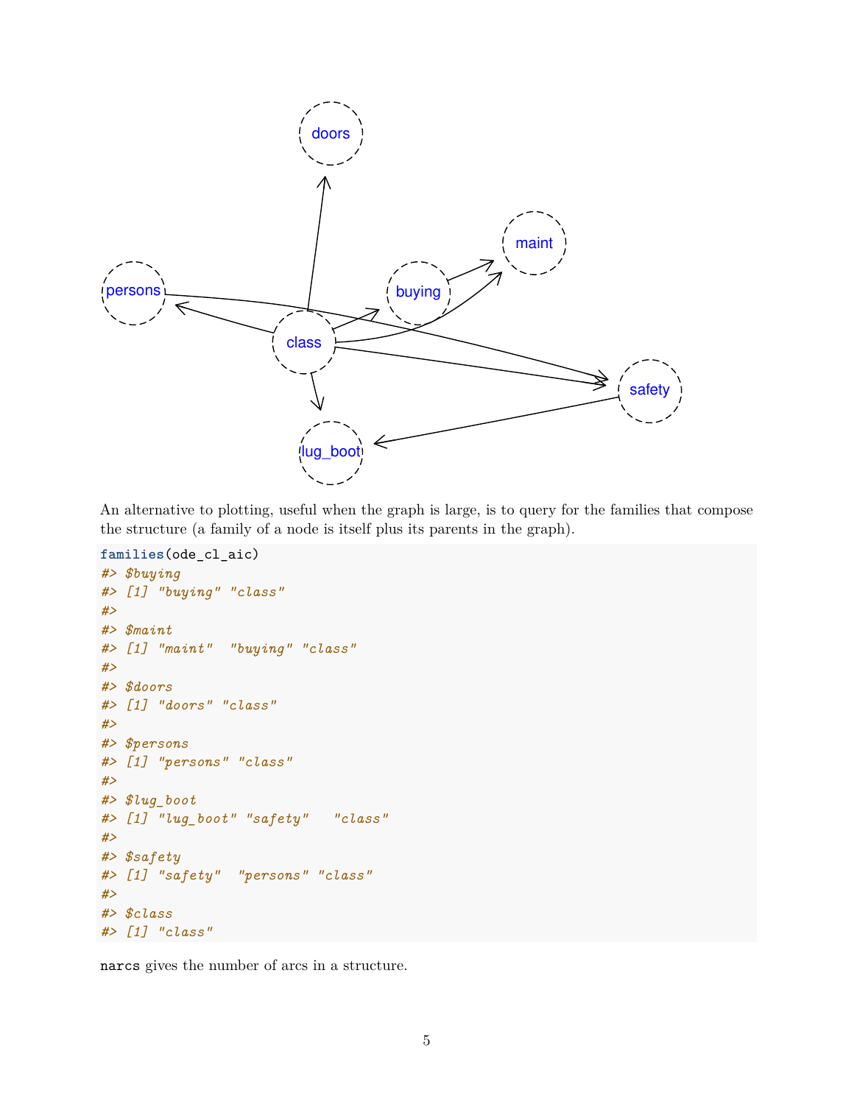

An alternative to plotting, useful when the graph is large, is to query for the families that compose the structure (a family of a node is itself plus its parents in the graph).

```
families(ode_cl_aic)
#> $buying
#> [1] "buying" "class"
#>
#> $maint
#> [1] "maint" "buying" "class"
#>
#> $doors
#> [1] "doors" "class"
#>
#> $persons
#> [1] "persons" "class"
#>
#> $lug_boot
#> [1] "lug_boot" "safety" "class"
#>
#> $safety
#> [1] "safety" "persons" "class"
#>
#> $class
#> [1] "class"
```
narcs gives the number of arcs in a structure.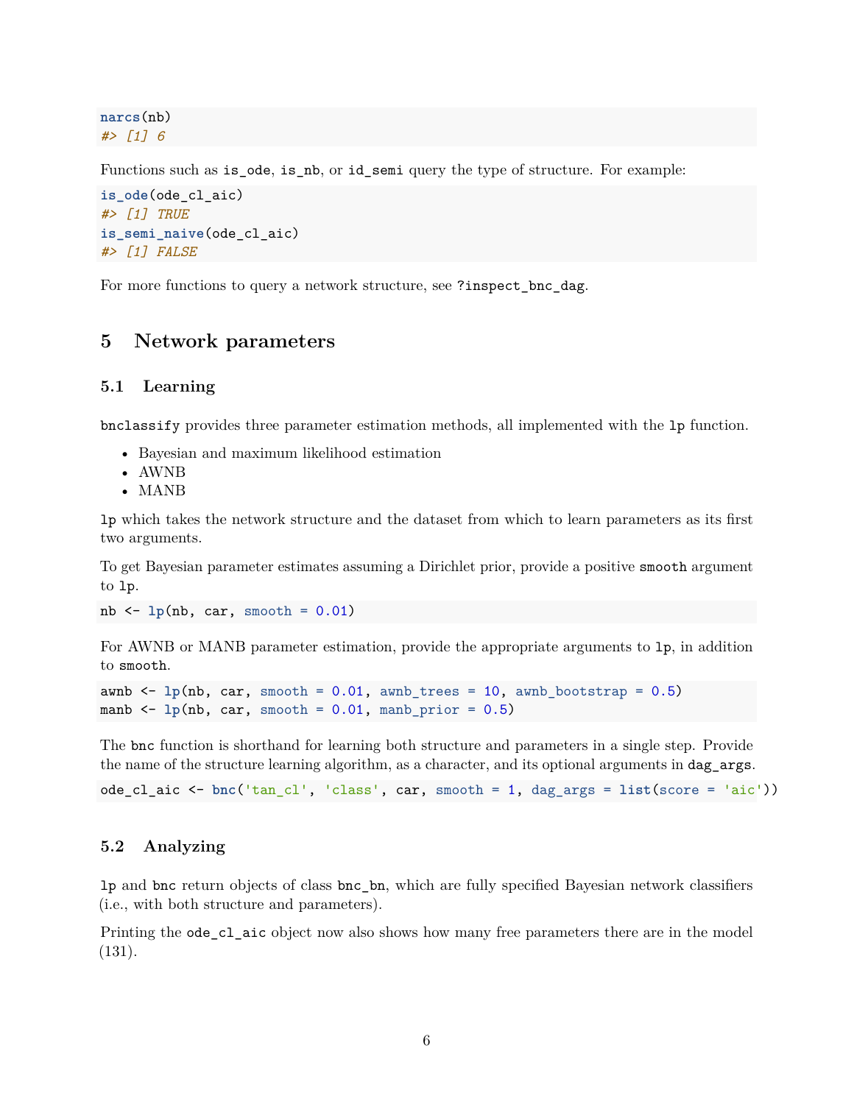**narcs**(nb) *#> [1] 6*

Functions such as is\_ode, is\_nb, or id\_semi query the type of structure. For example:

```
is_ode(ode_cl_aic)
#> [1] TRUE
is_semi_naive(ode_cl_aic)
#> [1] FALSE
```
For more functions to query a network structure, see ?inspect\_bnc\_dag.

## <span id="page-5-0"></span>**5 Network parameters**

#### <span id="page-5-1"></span>**5.1 Learning**

bnclassify provides three parameter estimation methods, all implemented with the lp function.

- Bayesian and maximum likelihood estimation
- AWNB
- MANB

lp which takes the network structure and the dataset from which to learn parameters as its first two arguments.

To get Bayesian parameter estimates assuming a Dirichlet prior, provide a positive smooth argument to lp.

 $nb \leftarrow lp(nb, car, smooth = 0.01)$ 

For AWNB or MANB parameter estimation, provide the appropriate arguments to lp, in addition to smooth.

```
awnb \leq \ln(\hbar), car, smooth = 0.01, awnb trees = 10, awnb bootstrap = 0.5)
manb \langle- 1p(nb, car, smooth = 0.01, manb_prior = 0.5)
```
The bnc function is shorthand for learning both structure and parameters in a single step. Provide the name of the structure learning algorithm, as a character, and its optional arguments in dag\_args.

```
ode_cl_aic <- bnc('tan_cl', 'class', car, smooth = 1, dag_args = list(score = 'aic'))
```
### <span id="page-5-2"></span>**5.2 Analyzing**

lp and bnc return objects of class bnc\_bn, which are fully specified Bayesian network classifiers (i.e., with both structure and parameters).

Printing the ode\_cl\_aic object now also shows how many free parameters there are in the model (131).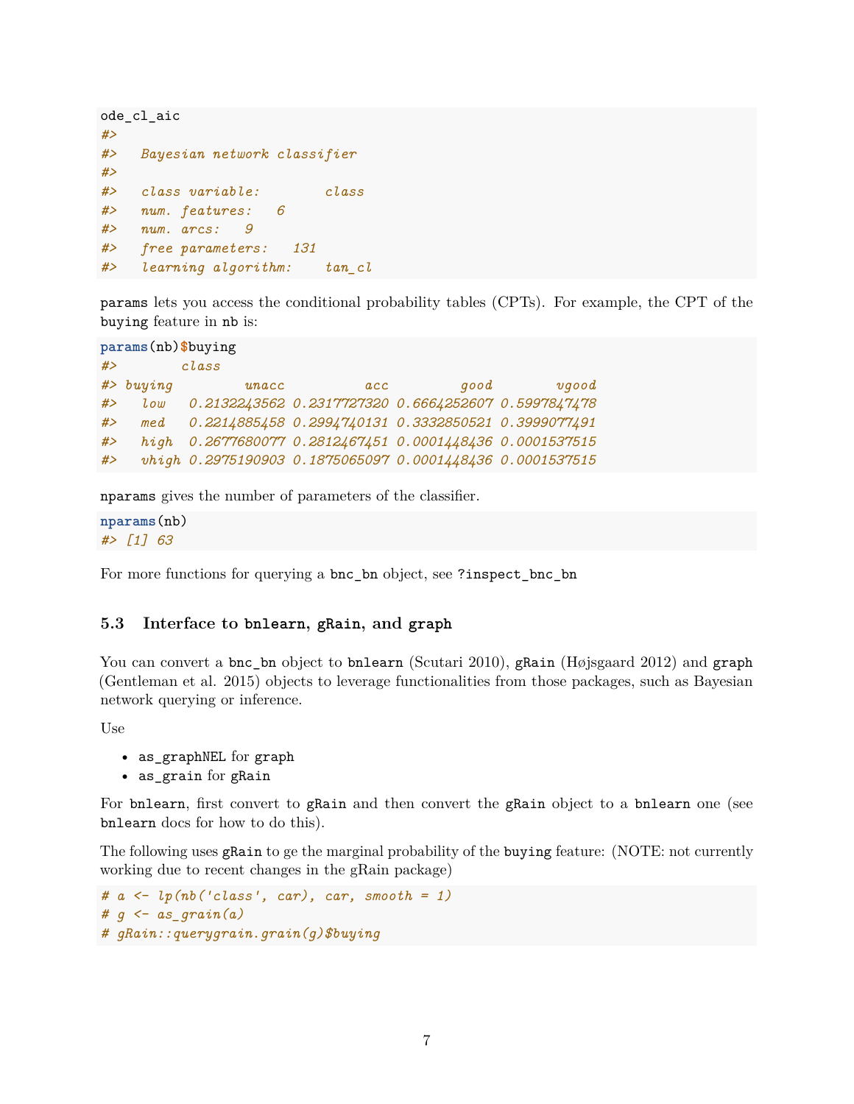```
ode_cl_aic
#>
#> Bayesian network classifier
#>
#> class variable: class
#> num. features: 6
#> num. arcs: 9
#> free parameters: 131
#> learning algorithm: tan_cl
```
params lets you access the conditional probability tables (CPTs). For example, the CPT of the buying feature in nb is:

```
params(nb)$buying
#> class
#> buying unacc acc good vgood
#> low 0.2132243562 0.2317727320 0.6664252607 0.5997847478
#> med 0.2214885458 0.2994740131 0.3332850521 0.3999077491
#> high 0.2677680077 0.2812467451 0.0001448436 0.0001537515
#> vhigh 0.2975190903 0.1875065097 0.0001448436 0.0001537515
```
nparams gives the number of parameters of the classifier.

**nparams**(nb) *#> [1] 63*

For more functions for querying a bnc\_bn object, see ?inspect\_bnc\_bn

### <span id="page-6-0"></span>**5.3 Interface to bnlearn, gRain, and graph**

You can convert a bnc\_bn object to bnlearn (Scutari 2010), gRain (Højsgaard 2012) and graph (Gentleman et al. 2015) objects to leverage functionalities from those packages, such as Bayesian network querying or inference.

Use

- as\_graphNEL for graph
- as\_grain for gRain

For bnlearn, first convert to gRain and then convert the gRain object to a bnlearn one (see bnlearn docs for how to do this).

The following uses gRain to ge the marginal probability of the buying feature: (NOTE: not currently working due to recent changes in the gRain package)

```
# a <- lp(nb('class', car), car, smooth = 1)
# g <- as_grain(a)
# gRain::querygrain.grain(g)$buying
```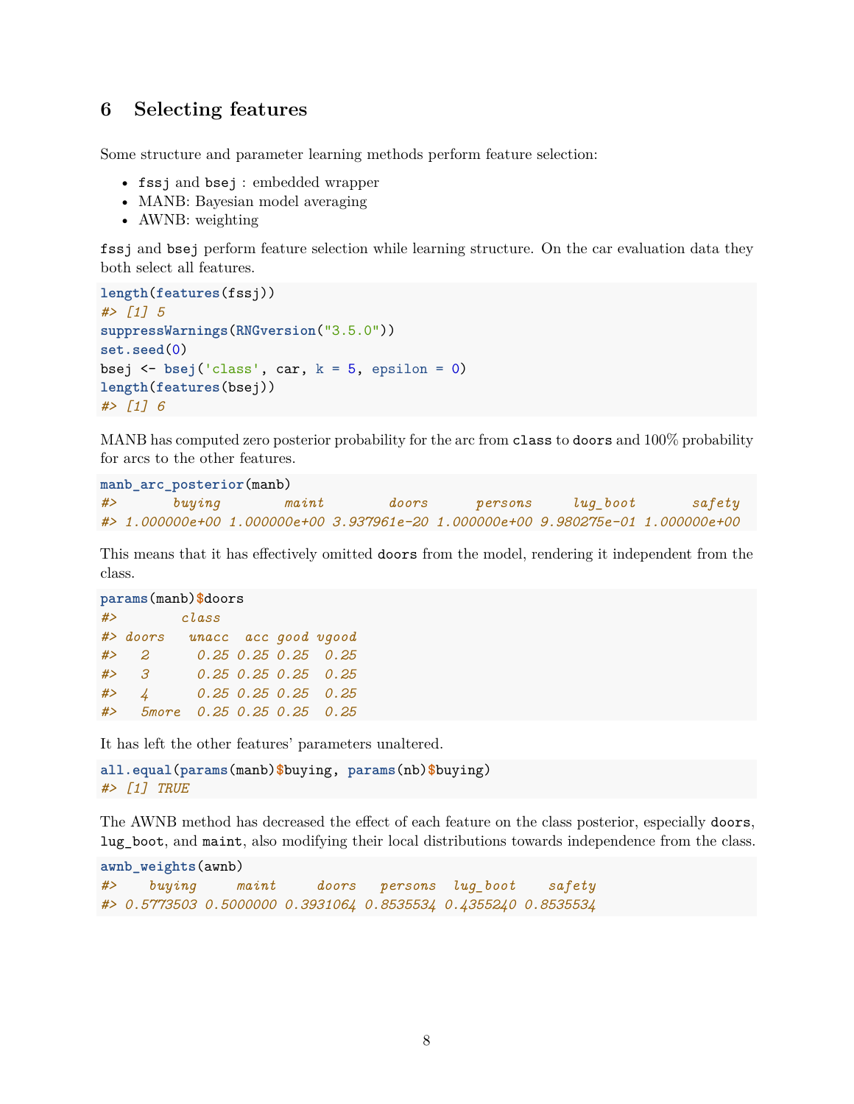# <span id="page-7-0"></span>**6 Selecting features**

Some structure and parameter learning methods perform feature selection:

- fssj and bsej : embedded wrapper
- MANB: Bayesian model averaging
- AWNB: weighting

fssj and bsej perform feature selection while learning structure. On the car evaluation data they both select all features.

```
length(features(fssj))
#> [1] 5
suppressWarnings(RNGversion("3.5.0"))
set.seed(0)
bsej \leq bsej('class', car, k = 5, epsilon = 0)
length(features(bsej))
#> [1] 6
```
MANB has computed zero posterior probability for the arc from class to doors and 100% probability for arcs to the other features.

```
manb_arc_posterior(manb)
#> buying maint doors persons lug_boot safety
#> 1.000000e+00 1.000000e+00 3.937961e-20 1.000000e+00 9.980275e-01 1.000000e+00
```
This means that it has effectively omitted doors from the model, rendering it independent from the class.

```
params(manb)$doors
#> class
#> doors unacc acc good vgood
#> 2 0.25 0.25 0.25 0.25
#> 3 0.25 0.25 0.25 0.25
#> 4 0.25 0.25 0.25 0.25
#> 5more 0.25 0.25 0.25 0.25
```
It has left the other features' parameters unaltered.

```
all.equal(params(manb)$buying, params(nb)$buying)
#> [1] TRUE
```
The AWNB method has decreased the effect of each feature on the class posterior, especially doors, lug\_boot, and maint, also modifying their local distributions towards independence from the class.

```
awnb_weights(awnb)
#> buying maint doors persons lug_boot safety
#> 0.5773503 0.5000000 0.3931064 0.8535534 0.4355240 0.8535534
```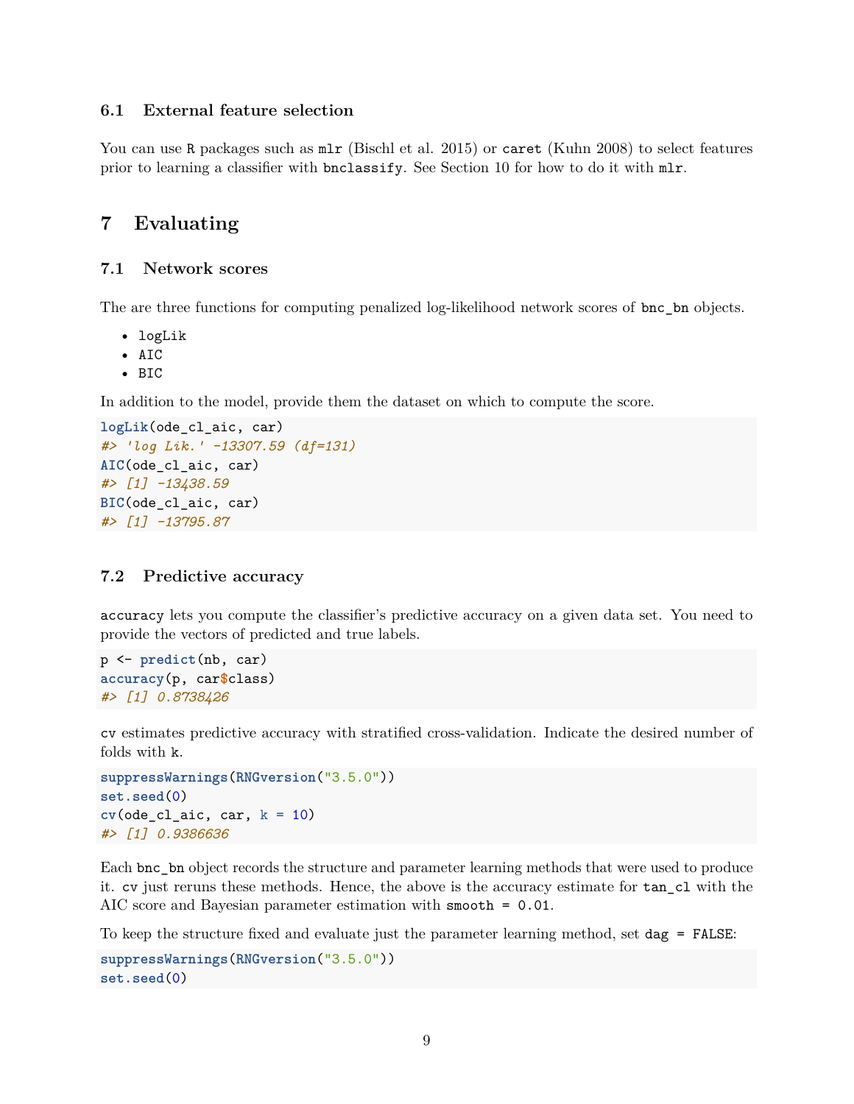### <span id="page-8-0"></span>**6.1 External feature selection**

You can use R packages such as  $mlr$  (Bischl et al. 2015) or caret (Kuhn 2008) to select features prior to learning a classifier with bnclassify. See Section [10](#page-10-1) for how to do it with mlr.

### <span id="page-8-1"></span>**7 Evaluating**

### <span id="page-8-2"></span>**7.1 Network scores**

The are three functions for computing penalized log-likelihood network scores of bnc\_bn objects.

- logLik
- AIC
- BIC

In addition to the model, provide them the dataset on which to compute the score.

```
logLik(ode_cl_aic, car)
#> 'log Lik.' -13307.59 (df=131)
AIC(ode_cl_aic, car)
#> [1] -13438.59
BIC(ode_cl_aic, car)
#> [1] -13795.87
```
#### <span id="page-8-3"></span>**7.2 Predictive accuracy**

accuracy lets you compute the classifier's predictive accuracy on a given data set. You need to provide the vectors of predicted and true labels.

```
p <- predict(nb, car)
accuracy(p, car$class)
#> [1] 0.8738426
```
cv estimates predictive accuracy with stratified cross-validation. Indicate the desired number of folds with k.

```
suppressWarnings(RNGversion("3.5.0"))
set.seed(0)
cv(ode_cl_aic, car, k = 10)#> [1] 0.9386636
```
Each bnc\_bn object records the structure and parameter learning methods that were used to produce it. cv just reruns these methods. Hence, the above is the accuracy estimate for tan\_cl with the AIC score and Bayesian parameter estimation with smooth = 0.01.

To keep the structure fixed and evaluate just the parameter learning method, set dag = FALSE:

```
suppressWarnings(RNGversion("3.5.0"))
set.seed(0)
```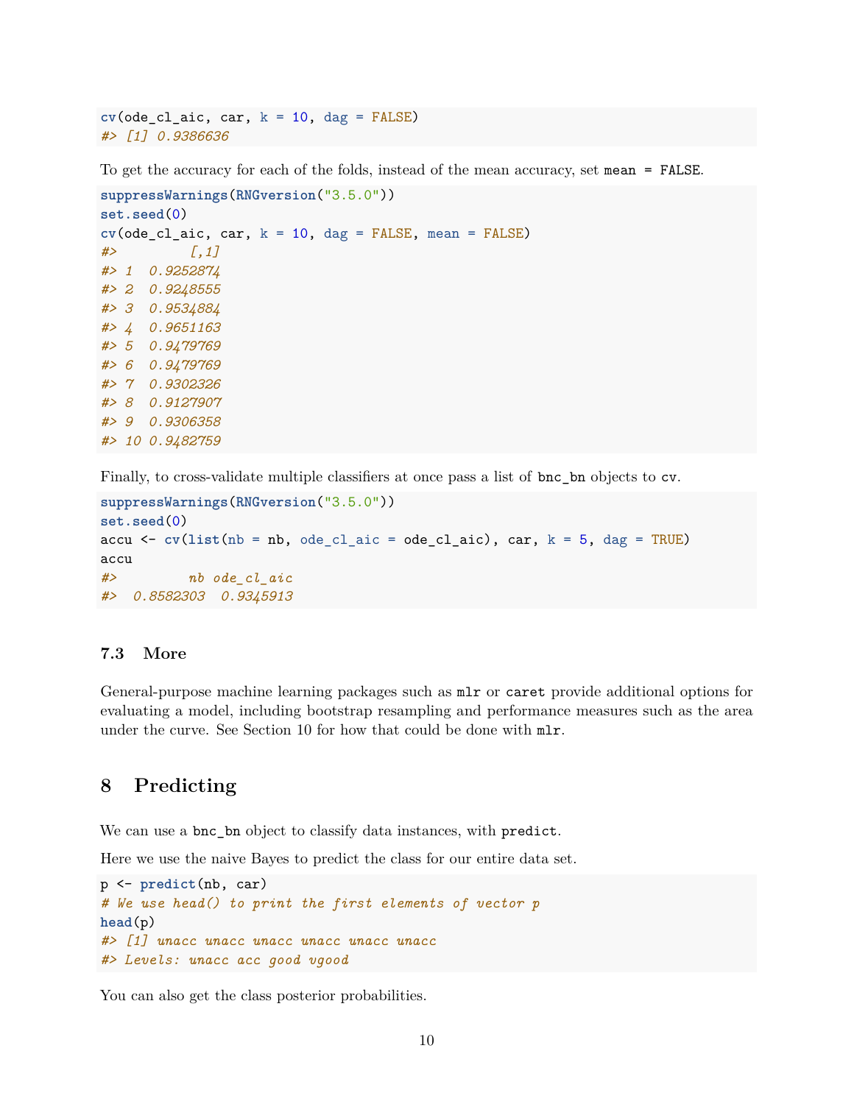$cv(ode_cl_aic, car, k = 10, dag = FALSE)$ *#> [1] 0.9386636*

To get the accuracy for each of the folds, instead of the mean accuracy, set mean = FALSE.

```
suppressWarnings(RNGversion("3.5.0"))
set.seed(0)
cv(ode_cl_aic, car, k = 10, dag = FALSE, mean = FALSE)
#> [,1]
#> 1 0.9252874
#> 2 0.9248555
#> 3 0.9534884
#> 4 0.9651163
#> 5 0.9479769
#> 6 0.9479769
#> 7 0.9302326
#> 8 0.9127907
#> 9 0.9306358
#> 10 0.9482759
```
Finally, to cross-validate multiple classifiers at once pass a list of bnc\_bn objects to cv.

```
suppressWarnings(RNGversion("3.5.0"))
set.seed(0)
accu \leq cv(list(nb = nb, ode_cl_aic = ode_cl_aic), car, k = 5, dag = TRUE)
accu
#> nb ode_cl_aic
#> 0.8582303 0.9345913
```
### <span id="page-9-0"></span>**7.3 More**

General-purpose machine learning packages such as mlr or caret provide additional options for evaluating a model, including bootstrap resampling and performance measures such as the area under the curve. See Section [10](#page-10-1) for how that could be done with mlr.

### <span id="page-9-1"></span>**8 Predicting**

We can use a bnc\_bn object to classify data instances, with predict.

Here we use the naive Bayes to predict the class for our entire data set.

```
p <- predict(nb, car)
# We use head() to print the first elements of vector p
head(p)
#> [1] unacc unacc unacc unacc unacc unacc
#> Levels: unacc acc good vgood
```
You can also get the class posterior probabilities.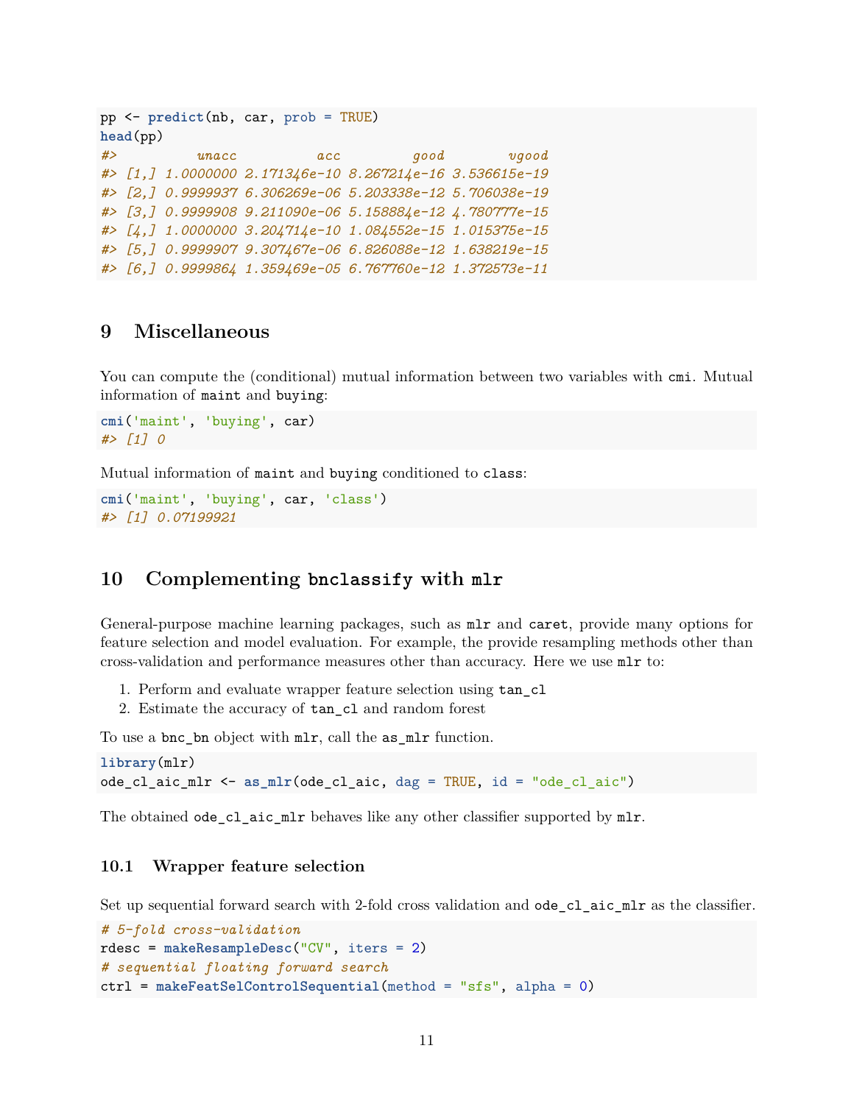```
pp <- predict(nb, car, prob = TRUE)
head(pp)
#> unacc acc good vgood
#> [1,] 1.0000000 2.171346e-10 8.267214e-16 3.536615e-19
#> [2,] 0.9999937 6.306269e-06 5.203338e-12 5.706038e-19
#> [3,] 0.9999908 9.211090e-06 5.158884e-12 4.780777e-15
#> [4,] 1.0000000 3.204714e-10 1.084552e-15 1.015375e-15
#> [5,] 0.9999907 9.307467e-06 6.826088e-12 1.638219e-15
#> [6,] 0.9999864 1.359469e-05 6.767760e-12 1.372573e-11
```
### <span id="page-10-0"></span>**9 Miscellaneous**

You can compute the (conditional) mutual information between two variables with cmi. Mutual information of maint and buying:

```
cmi('maint', 'buying', car)
#> [1] 0
```
Mutual information of maint and buying conditioned to class:

```
cmi('maint', 'buying', car, 'class')
#> [1] 0.07199921
```
### <span id="page-10-1"></span>**10 Complementing bnclassify with mlr**

General-purpose machine learning packages, such as mlr and caret, provide many options for feature selection and model evaluation. For example, the provide resampling methods other than cross-validation and performance measures other than accuracy. Here we use mlr to:

- 1. Perform and evaluate wrapper feature selection using tan\_cl
- 2. Estimate the accuracy of tan\_cl and random forest

To use a bnc\_bn object with mlr, call the as\_mlr function.

```
library(mlr)
ode_cl_aic_mlr <- as_mlr(ode_cl_aic, dag = TRUE, id = "ode_cl_aic")
```
The obtained ode\_cl\_aic\_mlr behaves like any other classifier supported by mlr.

#### <span id="page-10-2"></span>**10.1 Wrapper feature selection**

Set up sequential forward search with 2-fold cross validation and ode\_cl\_aic\_mlr as the classifier.

```
# 5-fold cross-validation
rdesc = makeResampleDesc("CV", iters = 2)
# sequential floating forward search
ctrl = makeFeatSelControlSequential(method = "sfs", alpha = 0)
```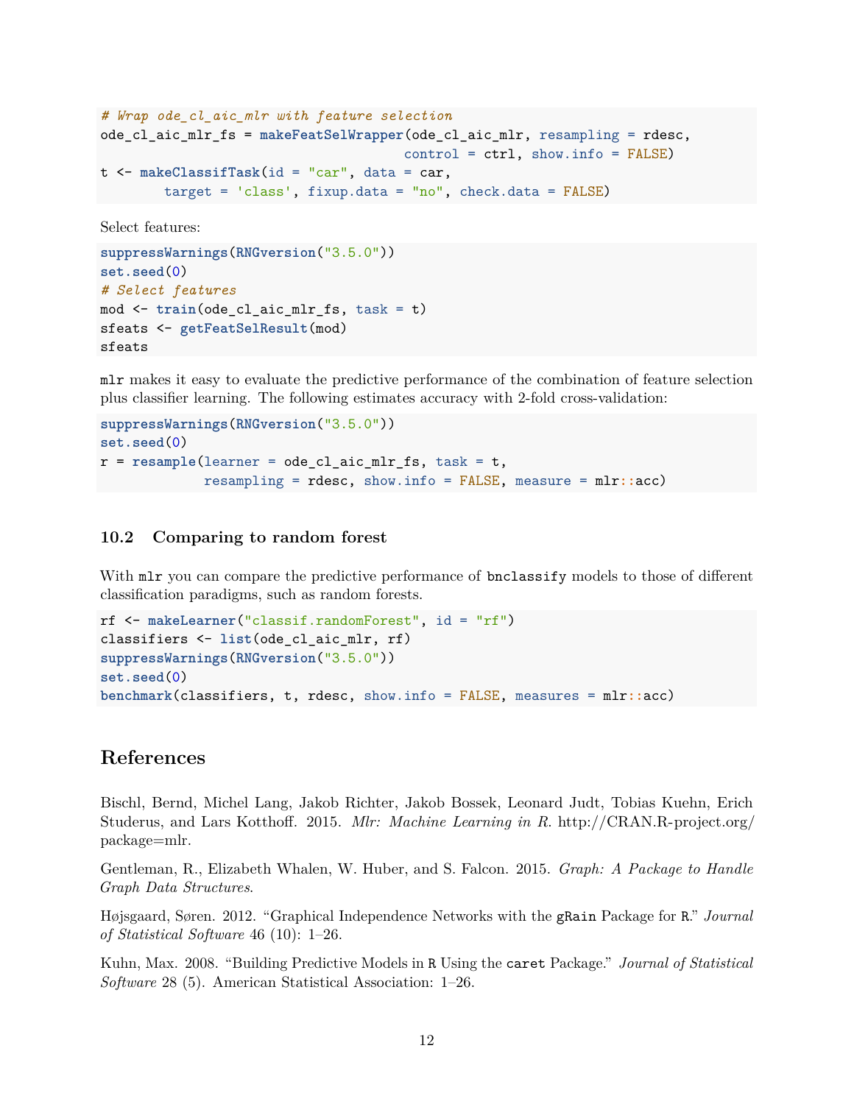```
# Wrap ode_cl_aic_mlr with feature selection
ode_cl_aic_mlr_fs = makeFeatSelWrapper(ode_cl_aic_mlr, resampling = rdesc,
                                      control = ctrl, show.info = FALSE)
t <- makeClassifTask(id = "car", data = car,
        target = 'class', fixup.data = "no", check.data = FALSE)
```
Select features:

```
suppressWarnings(RNGversion("3.5.0"))
set.seed(0)
# Select features
mod <- train(ode_cl_aic_mlr_fs, task = t)
sfeats <- getFeatSelResult(mod)
sfeats
```
mlr makes it easy to evaluate the predictive performance of the combination of feature selection plus classifier learning. The following estimates accuracy with 2-fold cross-validation:

```
suppressWarnings(RNGversion("3.5.0"))
set.seed(0)
r = resample(learner = ode_cl_aic_mlr_fs, task = t,
             resampling = rdesc, show.info = FALSE, measure = mlr::acc)
```
#### <span id="page-11-0"></span>**10.2 Comparing to random forest**

With  $mlr$  you can compare the predictive performance of **bnclassify** models to those of different classification paradigms, such as random forests.

```
rf <- makeLearner("classif.randomForest", id = "rf")
classifiers <- list(ode_cl_aic_mlr, rf)
suppressWarnings(RNGversion("3.5.0"))
set.seed(0)
benchmark(classifiers, t, rdesc, show.info = FALSE, measures = mlr::acc)
```
### <span id="page-11-1"></span>**References**

Bischl, Bernd, Michel Lang, Jakob Richter, Jakob Bossek, Leonard Judt, Tobias Kuehn, Erich Studerus, and Lars Kotthoff. 2015. *Mlr: Machine Learning in R*. [http://CRAN.R-project.org/](http://CRAN.R-project.org/package=mlr) [package=mlr.](http://CRAN.R-project.org/package=mlr)

Gentleman, R., Elizabeth Whalen, W. Huber, and S. Falcon. 2015. *Graph: A Package to Handle Graph Data Structures*.

Højsgaard, Søren. 2012. "Graphical Independence Networks with the gRain Package for R." *Journal of Statistical Software* 46 (10): 1–26.

Kuhn, Max. 2008. "Building Predictive Models in R Using the caret Package." *Journal of Statistical Software* 28 (5). American Statistical Association: 1–26.